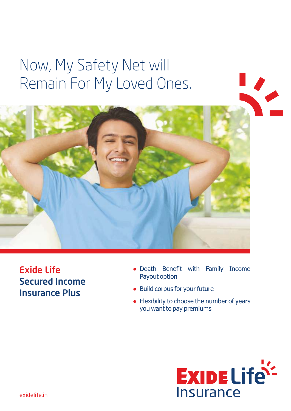# Now, My Safety Net will Remain For My Loved Ones.



Exide Life Secured Income Insurance Plus

- Death Benefit with Family Income Payout option
- Build corpus for your future
- Flexibility to choose the number of years you want to pay premiums

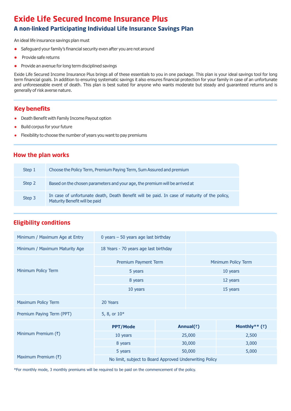## **Exide Life Secured Income Insurance Plus**

## **A non-linked Participating Individual Life Insurance Savings Plan**

An ideal life insurance savings plan must

- Safeguard your family's financial security even after you are not around
- l Provide safe returns
- Provide an avenue for long term disciplined savings

Exide Life Secured Income Insurance Plus brings all of these essentials to you in one package. This plan is your ideal savings tool for long term financial goals. In addition to ensuring systematic savings it also ensures financial protection for your family in case of an unfortunate and unforeseeable event of death. This plan is best suited for anyone who wants moderate but steady and guaranteed returns and is generally of risk averse nature.

## **Key benefits**

- Death Benefit with Family Income Payout option
- **Build corpus for your future**
- Flexibility to choose the number of years you want to pay premiums

## **How the plan works**

| Step 1 | Choose the Policy Term, Premium Paying Term, Sum Assured and premium                                                          |
|--------|-------------------------------------------------------------------------------------------------------------------------------|
| Step 2 | Based on the chosen parameters and your age, the premium will be arrived at                                                   |
| Step 3 | In case of unfortunate death, Death Benefit will be paid. In case of maturity of the policy,<br>Maturity Benefit will be paid |

## **Eligibility conditions**

| Minimum / Maximum Age at Entry | 0 years $-50$ years age last birthday                   |        |                     |                     |  |  |
|--------------------------------|---------------------------------------------------------|--------|---------------------|---------------------|--|--|
| Minimum / Maximum Maturity Age | 18 Years - 70 years age last birthday                   |        |                     |                     |  |  |
|                                | Premium Payment Term                                    |        |                     | Minimum Policy Term |  |  |
| Minimum Policy Term            | 5 years                                                 |        | 10 years            |                     |  |  |
|                                | 8 years                                                 |        | 12 years            |                     |  |  |
|                                | 10 years                                                |        |                     | 15 years            |  |  |
| Maximum Policy Term            | 20 Years                                                |        |                     |                     |  |  |
| Premium Paying Term (PPT)      | 5, 8, or 10*                                            |        |                     |                     |  |  |
|                                | <b>PPT/Mode</b>                                         |        | Annual( $\bar{z}$ ) | Monthly** $(3)$     |  |  |
| Minimum Premium (₹)            | 10 years<br>25,000<br>2,500                             |        |                     |                     |  |  |
|                                | 8 years                                                 | 30,000 |                     | 3,000               |  |  |
|                                | 5 years                                                 |        | 50,000<br>5,000     |                     |  |  |
| Maximum Premium $(\bar{x})$    | No limit, subject to Board Approved Underwriting Policy |        |                     |                     |  |  |

\*For monthly mode, 3 monthly premiums will be required to be paid on the commencement of the policy.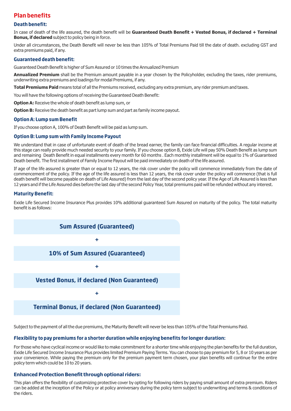## **Plan benefits**

#### **Death benefit:**

In case of death of the life assured, the death benefit will be **Guaranteed Death Benefit + Vested Bonus, if declared + Terminal Bonus, if declared** subject to policy being in force.

Under all circumstances, the Death Benefit will never be less than 105% of Total Premiums Paid till the date of death. excluding GST and extra premiums paid, if any.

#### **Guaranteed death benefit:**

Guaranteed Death Benefit is higher of Sum Assured or 10 times the Annualized Premium

**Annualized Premium** shall be the Premium amount payable in a year chosen by the Policyholder, excluding the taxes, rider premiums, underwriting extra premiums and loadings for modal Premiums, if any.

**Total Premiums Paid** means total of all the Premiums received, excluding any extra premium, any rider premium and taxes.

You will have the following options of receiving the Guaranteed Death Benefit:

**Option A:** Receive the whole of death benefit as lump sum, or

**Option B:** Receive the death benefit as part lump sum and part as family income payout.

#### **Option A: Lump sum Benefit**

If you choose option A, 100% of Death Benefit will be paid as lump sum.

#### **Option B: Lump sum with Family Income Payout**

We understand that in case of unfortunate event of death of the bread earner, the family can face financial difficulties. A regular income at this stage can really provide much needed security to your family. If you choose option B, Exide Life will pay 50% Death Benefit as lump sum and remaining Death Benefit in equal installments every month for 60 months . Each monthly installment will be equal to 1% of Guaranteed Death benefit. The first installment of Family Income Payout will be paid immediately on death of the life assured.

If age of the life assured is greater than or equal to 12 years, the risk cover under the policy will commence immediately from the date of commencement of the policy. If the age of the life assured is less than 12 years, the risk cover under the policy will commence (that is full death benefit will become payable on death of Life Assured) from the last day of the second policy year. If the Age of Life Assured is less than 12 years and if the Life Assured dies before the last day of the second Policy Year, total premiums paid will be refunded without any interest.

#### **Maturity Benefit:**

Exide Life Secured Income Insurance Plus provides 10% additional guaranteed Sum Assured on maturity of the policy. The total maturity benefit is as follows:



Subject to the payment of all the due premiums, the Maturity Benefit will never be less than 105% of the Total Premiums Paid.

#### **Flexibility to pay premiums for a shorter duration while enjoying benefits for longer duration:**

For those who have cyclical income or would like to make commitment for a shorter time while enjoying the plan benefits for the full duration, Exide Life Secured Income Insurance Plus provides limited Premium Paying Terms. You can choose to pay premium for 5, 8 or 10 years as per your convenience. While paying the premium only for the premium payment term chosen, your plan benefits will continue for the entire policy term which could be 10 to 20 years.

#### **Enhanced Protection Benefit through optional riders:**

This plan offers the flexibility of customizing protective cover by opting for following riders by paying small amount of extra premium. Riders can be added at the inception of the Policy or at policy anniversary during the policy term subject to underwriting and terms & conditions of the riders.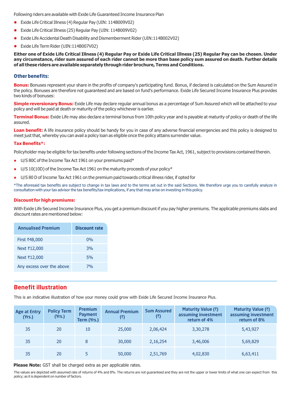Following riders are available with Exide Life Guaranteed Income Insurance Plan

- l Exide Life Critical Illness (4) Regular Pay (UIN: 114B009V02)
- l Exide Life Critical Illness (25) Regular Pay (UIN: 114B009V02)
- l Exide Life Accidental Death Disability and Dismemberment Rider (UIN:114B002V02)
- Exide Life Term Rider (UIN:114B007V02)

**Either one of Exide Life Critical Illness (4) Regular Pay or Exide Life Critical Illness (25) Regular Pay can be chosen. Under any circumstance, rider sum assured of each rider cannot be more than base policy sum assured on death. Further details of all these riders are available separately through rider brochure, Terms and Conditions.** 

#### **Other benefits:**

**Bonus:** Bonuses represent your share in the profits of company's participating fund. Bonus, if declared is calculated on the Sum Assured in the policy. Bonuses are therefore not guaranteed and are based on fund's performance. Exide Life Secured Income Insurance Plus provides two kinds of bonuses:

**Simple reversionary Bonus:** Exide Life may declare regular annual bonus as a percentage of Sum Assured which will be attached to your policy and will be paid at death or maturity of the policy whichever is earlier.

**Terminal Bonus:** Exide Life may also declare a terminal bonus from 10th policy year and is payable at maturity of policy or death of the life assured.

**Loan benefit:** A life insurance policy should be handy for you in case of any adverse financial emergencies and this policy is designed to meet just that, whereby you can avail a policy loan as eligible once the policy attains surrender value.

#### **Tax Benefits\*:**

Policyholder may be eligible for tax benefits under following sections of the Income Tax Act, 1961, subject to provisions contained therein.

- U/S 80C of the Income Tax Act 1961 on your premiums paid\*
- $\bullet$  U/S 10(10D) of the Income Tax Act 1961 on the maturity proceeds of your policy\*
- U/S 80 D of Income Tax Act 1961 on the premium paid towards critical illness rider, if opted for

\*The aforesaid tax benefits are subject to change in tax laws and to the terms set out in the said Sections. We therefore urge you to carefully analyze in consultation with your tax advisor the tax benefits/tax implications, if any that may arise on investing in this policy.

#### **Discount for high premiums:**

With Exide Life Secured Income Insurance Plus, you get a premium discount if you pay higher premiums. The applicable premiums slabs and discount rates are mentioned below:

| <b>Annualised Premium</b> | <b>Discount rate</b> |
|---------------------------|----------------------|
| First ₹48,000             | $0\%$                |
| Next ₹12,000              | 3%                   |
| Next ₹12,000              | 5%                   |
| Any excess over the above | 7%                   |

## **Benefit illustration**

This is an indicative illustration of how your money could grow with Exide Life Secured Income Insurance Plus.

| <b>Age at Entry</b><br>(Yrs.) | <b>Policy Term</b><br>(Yrs.) | <b>Premium</b><br><b>Payment</b><br>Term (Yrs.) | <b>Annual Premium</b><br>(₹) | <b>Sum Assured</b><br>(₹) | Maturity Value (₹)<br>assuming investment<br>return of 4% | Maturity Value (₹)<br>assuming investment<br>return of 8% |
|-------------------------------|------------------------------|-------------------------------------------------|------------------------------|---------------------------|-----------------------------------------------------------|-----------------------------------------------------------|
| 35                            | 20                           | 10                                              | 25,000                       | 2,06,424                  | 3,30,278                                                  | 5,43,927                                                  |
| 35                            | 20                           | 8                                               | 30,000                       | 2,16,254                  | 3,46,006                                                  | 5,69,829                                                  |
| 35                            | 20                           | 5                                               | 50,000                       | 2,51,769                  | 4,02,830                                                  | 6,63,411                                                  |

**Please Note:** GST shall be charged extra as per applicable rates.

The values are depicted with assumed rate of returns of 4% and 8%. The returns are not quaranteed and they are not the upper or lower limits of what one can expect from this policy; as it is dependent on number of factors.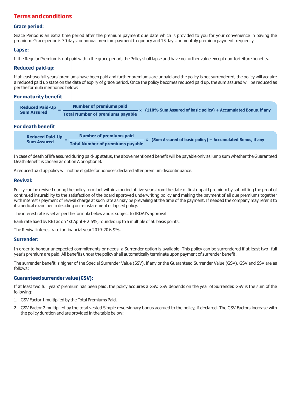## **Terms and conditions**

#### **Grace period:**

Grace Period is an extra time period after the premium payment due date which is provided to you for your convenience in paying the premium. Grace period is 30 days for annual premium payment frequency and 15 days for monthly premium payment frequency.

#### **Lapse:**

If the Regular Premium is not paid within the grace period, the Policy shall lapse and have no further value except non-forfeiture benefits.

#### **Reduced paid-up:**

If at least two full years' premiums have been paid and further premiums are unpaid and the policy is not surrendered, the policy will acquire a reduced paid up state on the date of expiry of grace period. Once the policy becomes reduced paid up, the sum assured will be reduced as per the formula mentioned below:

#### **For maturity benefit**

| <b>Reduced Paid-Up</b> | <b>Number of premiums paid</b>          | $ \times$ (110% Sum Assured of basic policy) + Accumulated Bonus, if any |
|------------------------|-----------------------------------------|--------------------------------------------------------------------------|
| <b>Sum Assured</b>     | <b>Total Number of premiums payable</b> |                                                                          |

#### **For death benefit**

| <b>Reduced Paid-Up</b> | Number of premiums paid                 | $-x$ (Sum Assured of basic policy) + Accumulated Bonus, if any |  |
|------------------------|-----------------------------------------|----------------------------------------------------------------|--|
| <b>Sum Assured</b>     | <b>Total Number of premiums payable</b> |                                                                |  |

In case of death of life assured during paid-up status, the above mentioned benefit will be payable only as lump sum whether the Guaranteed Death Benefit is chosen as option A or option B.

A reduced paid up policy will not be eligible for bonuses declared after premium discontinuance.

#### **Revival:**

Policy can be revived during the policy term but within a period of five years from the date of first unpaid premium by submitting the proof of continued insurability to the satisfaction of the board approved underwriting policy and making the payment of all due premiums together with interest / payment of revival charge at such rate as may be prevailing at the time of the payment. If needed the company may refer it to its medical examiner in deciding on reinstatement of lapsed policy.

The interest rate is set as per the formula below and is subject to IRDAI's approval:

Bank rate fixed by RBI as on 1st April + 2.5%, rounded up to a multiple of 50 basis points.

The Revival interest rate for financial year 2019-20 is 9%.

#### **Surrender:**

In order to honour unexpected commitments or needs, a Surrender option is available. This policy can be surrendered if at least two full year's premium are paid. All benefits under the policy shall automatically terminate upon payment of surrender benefit.

The surrender benefit is higher of the Special Surrender Value (SSV), if any or the Guaranteed Surrender Value (GSV). GSV and SSV are as follows:

#### **Guaranteed surrender value (GSV):**

If at least two full years' premium has been paid, the policy acquires a GSV. GSV depends on the year of Surrender. GSV is the sum of the following:

- 1. GSV Factor 1 multiplied by the Total Premiums Paid.
- 2. GSV Factor 2 multiplied by the total vested Simple reversionary bonus accrued to the policy, if declared. The GSV Factors increase with the policy duration and are provided in the table below: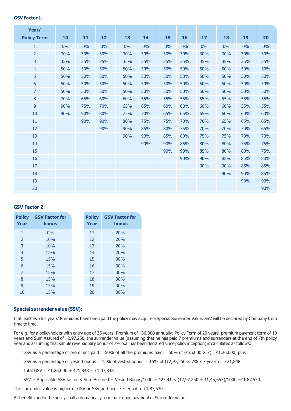#### **GSV Factor 1:**

| Year/              |     |     |     |     |     |     |     |     |     |     |     |
|--------------------|-----|-----|-----|-----|-----|-----|-----|-----|-----|-----|-----|
| <b>Policy Term</b> | 10  | 11  | 12  | 13  | 14  | 15  | 16  | 17  | 18  | 19  | 20  |
| 1                  | 0%  | 0%  | 0%  | 0%  | 0%  | 0%  | 0%  | 0%  | 0%  | 0%  | 0%  |
| $\overline{2}$     | 30% | 30% | 30% | 30% | 30% | 30% | 30% | 30% | 30% | 30% | 30% |
| 3                  | 35% | 35% | 35% | 35% | 35% | 35% | 35% | 35% | 35% | 35% | 35% |
| $\overline{4}$     | 50% | 50% | 50% | 50% | 50% | 50% | 50% | 50% | 50% | 50% | 50% |
| 5                  | 50% | 50% | 50% | 50% | 50% | 50% | 50% | 50% | 50% | 50% | 50% |
| 6                  | 50% | 50% | 50% | 50% | 50% | 50% | 50% | 50% | 50% | 50% | 50% |
| $\overline{7}$     | 50% | 50% | 50% | 50% | 50% | 50% | 50% | 50% | 50% | 50% | 50% |
| $\bf 8$            | 70% | 65% | 60% | 60% | 55% | 55% | 55% | 55% | 55% | 55% | 55% |
| 9                  | 90% | 75% | 70% | 65% | 65% | 60% | 60% | 60% | 60% | 55% | 55% |
| 10                 | 90% | 90% | 80% | 75% | 70% | 65% | 65% | 65% | 60% | 60% | 60% |
| 11                 |     | 90% | 90% | 80% | 75% | 75% | 70% | 70% | 65% | 65% | 65% |
| 12                 |     |     | 90% | 90% | 85% | 80% | 75% | 70% | 70% | 70% | 65% |
| 13                 |     |     |     | 90% | 90% | 85% | 80% | 75% | 75% | 70% | 70% |
| 14                 |     |     |     |     | 90% | 90% | 85% | 80% | 80% | 75% | 75% |
| 15                 |     |     |     |     |     | 90% | 90% | 85% | 80% | 80% | 75% |
| 16                 |     |     |     |     |     |     | 90% | 90% | 85% | 85% | 80% |
| 17                 |     |     |     |     |     |     |     | 90% | 90% | 85% | 85% |
| 18                 |     |     |     |     |     |     |     |     | 90% | 90% | 85% |
| 19                 |     |     |     |     |     |     |     |     |     | 90% | 90% |
| 20                 |     |     |     |     |     |     |     |     |     |     | 90% |

#### **GSV Factor 2:**

| <b>Policy</b><br>Year | <b>GSV Factor for</b><br><b>bonus</b> | <b>Policy</b><br>Year | <b>GSV Factor for</b><br><b>bonus</b> |
|-----------------------|---------------------------------------|-----------------------|---------------------------------------|
|                       |                                       |                       |                                       |
| 1                     | 0%                                    | 11                    | 20%                                   |
| $\mathcal{P}$         | 10%                                   | 12                    | 20%                                   |
| 3                     | 10%                                   | 13                    | 20%                                   |
| $\overline{4}$        | 15%                                   | 14                    | 20%                                   |
| 5                     | 15%                                   | 15                    | 30%                                   |
| 6                     | 15%                                   | 16                    | 30%                                   |
| $\overline{7}$        | 15%                                   | 17                    | 30%                                   |
| 8                     | 15%                                   | 18                    | 30%                                   |
| 9                     | 15%                                   | 19                    | 30%                                   |
| 10                    | 15%                                   | 20                    | 30%                                   |

#### **Special surrender value (SSV):**

If at least two full years' Premiums have been paid the policy may acquire a Special Surrender Value. SSV will be declared by Company from time to time.

For e.g. for a policyholder with entry age of 35 years; Premium of `36,000 annually; Policy Term of 20 years, premium payment term of 10 years and Sum Assured of `2,97,250, the surrender value (assuming that he has paid 7 premiums and surrenders at the end of 7th policy year and assuming that simple reversionary bonus of 7% p.a. has been declared since policy inception) is calculated as follows:

GSV as a percentage of premiums paid = 50% of all the premiums paid = 50% of ( $\overline{\text{36,000}} \times 7$ ) =\ $\overline{\text{1,26,000}}$ , plus

GSV as a percentage of vested bonus = 15% of vested bonus = 15% of ( $\overline{\epsilon}$ 2,97,250  $\times$  7% x 7 years) =  $\overline{\epsilon}$ 21,848.

Total GSV = ₹1,26,000 + ₹21,848 = ₹1,47,848

SSV = Applicable SSV factor × Sum Assured + Vested Bonus/1000 = 423.41 × (₹2,97,250 + ₹1,45,653)/1000 =₹1,87,530.

The surrender value is higher of GSV or SSV and hence is equal to  $\bar{\tau}1.87.530$ .

All benefits under the policy shall automatically terminate upon payment of Surrender Value.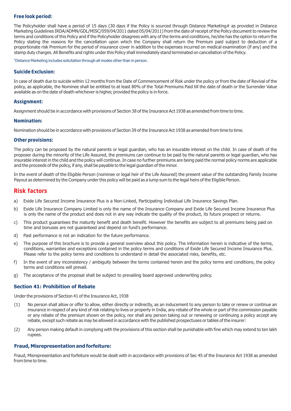#### **Free look period:**

The Policyholder shall have a period of 15 days (30 days if the Policy is sourced through Distance Marketing# as provided in Distance Marketing Guidelines IRDA/ADMN/GDL/MISC/059/04/2011 dated 05/04/2011) from the date of receipt of the Policy document to review the terms and conditions of this Policy and if the Policyholder disagrees with any of the terms and conditions, he/she has the option to return the Policy stating the reasons for the cancellation upon which the Company shall return the Premium paid subject to deduction of a proportionate risk Premium for the period of insurance cover in addition to the expenses incurred on medical examination (if any) and the stamp duty charges. All Benefits and rights under this Policy shall immediately stand terminated on cancellation of the Policy.

#Distance Marketing includes solicitation through all modes other than in person.

#### **Suicide Exclusion:**

In case of death due to suicide within 12 months from the Date of Commencement of Risk under the policy or from the date of Revival of the policy, as applicable, the Nominee shall be entitled to at least 80% of the Total Premiums Paid till the date of death or the Surrender Value available as on the date of death whichever is higher, provided the policy is in force.

#### **Assignment:**

Assignment should be in accordance with provisions of Section 38 of the Insurance Act 1938 as amended from time to time.

#### **Nomination:**

Nomination should be in accordance with provisions of Section 39 of the Insurance Act 1938 as amended from time to time.

#### **Other provisions:**

The policy can be proposed by the natural parents or legal guardian, who has an insurable interest on the child. In case of death of the proposer during the minority of the Life Assured, the premiums can continue to be paid by the natural parents or legal guardian, who has insurable interest in the child and the policy will continue. In case no further premiums are being paid the normal policy norms are applicable and the proceeds of the policy, if any, shall be payable to the legal guardian of the minor.

In the event of death of the Eligible Person (nominee or legal heir of the Life Assured) the present value of the outstanding Family Income Payout as determined by the Company under this policy will be paid as a lump sum to the legal heirs of the Eligible Person.

#### **Risk factors**

- a) Exide Life Secured Income Insurance Plus is a Non-Linked, Participating Individual Life Insurance Savings Plan.
- b) Exide Life Insurance Company Limited is only the name of the Insurance Company and Exide Life Secured Income Insurance Plus is only the name of the product and does not in any way indicate the quality of the product, its future prospect or returns.
- c) This product guarantees the maturity benefit and death benefit. However the benefits are subject to all premiums being paid on time and bonuses are not guaranteed and depend on fund's performance.
- d) Past performance is not an indication for the future performance.
- e) The purpose of this brochure is to provide a general overview about this policy. The information herein is indicative of the terms, conditions, warranties and exceptions contained in the policy terms and conditions of Exide Life Secured Income Insurance Plus. Please refer to the policy terms and conditions to understand in detail the associated risks, benefits, etc.
- f) In the event of any inconsistency / ambiguity between the terms contained herein and the policy terms and conditions, the policy terms and conditions will prevail.
- g) The acceptance of the proposal shall be subject to prevailing board approved underwriting policy.

#### **Section 41: Prohibition of Rebate**

Under the provisions of Section 41 of the Insurance Act, 1938

- (1) No person shall allow or offer to allow, either directly or indirectly, as an inducement to any person to take or renew or continue an insurance in respect of any kind of risk relating to lives or property in India, any rebate of the whole or part of the commission payable or any rebate of the premium shown on the policy, nor shall any person taking out or renewing or continuing a policy accept any rebate, except such rebate as may be allowed in accordance with the published prospectuses or tables of the insurer:
- (2) Any person making default in complying with the provisions of this section shall be punishable with fine which may extend to ten lakh rupees.

#### **Fraud, Misrepresentation and forfeiture:**

Fraud, Misrepresentation and forfeiture would be dealt with in accordance with provisions of Sec 45 of the Insurance Act 1938 as amended from time to time.